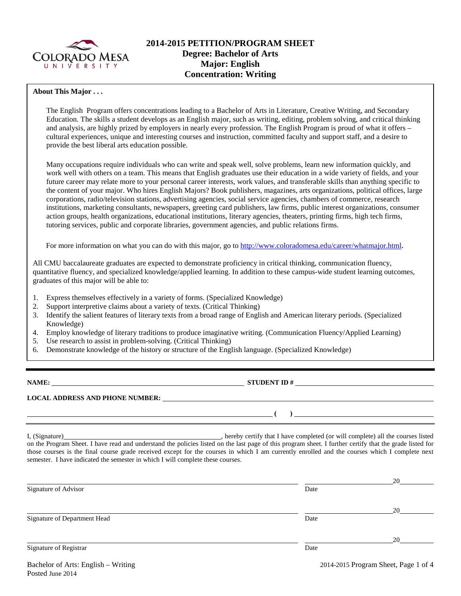

#### **About This Major . . .**

The English Program offers concentrations leading to a Bachelor of Arts in Literature, Creative Writing, and Secondary Education. The skills a student develops as an English major, such as writing, editing, problem solving, and critical thinking and analysis, are highly prized by employers in nearly every profession. The English Program is proud of what it offers – cultural experiences, unique and interesting courses and instruction, committed faculty and support staff, and a desire to provide the best liberal arts education possible.

Many occupations require individuals who can write and speak well, solve problems, learn new information quickly, and work well with others on a team. This means that English graduates use their education in a wide variety of fields, and your future career may relate more to your personal career interests, work values, and transferable skills than anything specific to the content of your major. Who hires English Majors? Book publishers, magazines, arts organizations, political offices, large corporations, radio/television stations, advertising agencies, social service agencies, chambers of commerce, research institutions, marketing consultants, newspapers, greeting card publishers, law firms, public interest organizations, consumer action groups, health organizations, educational institutions, literary agencies, theaters, printing firms, high tech firms, tutoring services, public and corporate libraries, government agencies, and public relations firms.

For more information on what you can do with this major, go to [http://www.coloradomesa.edu/career/whatmajor.html.](http://www.coloradomesa.edu/career/whatmajor.html)

All CMU baccalaureate graduates are expected to demonstrate proficiency in critical thinking, communication fluency, quantitative fluency, and specialized knowledge/applied learning. In addition to these campus-wide student learning outcomes, graduates of this major will be able to:

- 1. Express themselves effectively in a variety of forms. (Specialized Knowledge)
- 2. Support interpretive claims about a variety of texts. (Critical Thinking)
- 3. Identify the salient features of literary texts from a broad range of English and American literary periods. (Specialized Knowledge)
- 4. Employ knowledge of literary traditions to produce imaginative writing. (Communication Fluency/Applied Learning)
- 5. Use research to assist in problem-solving. (Critical Thinking)
- 6. Demonstrate knowledge of the history or structure of the English language. (Specialized Knowledge)

**NAME: STUDENT ID #**

**( )** 

# **LOCAL ADDRESS AND PHONE NUMBER:**

I, (Signature) , hereby certify that I have completed (or will complete) all the courses listed on the Program Sheet. I have read and understand the policies listed on the last page of this program sheet. I further certify that the grade listed for those courses is the final course grade received except for the courses in which I am currently enrolled and the courses which I complete next semester. I have indicated the semester in which I will complete these courses.

| Signature of Advisor         | Date | 20 |
|------------------------------|------|----|
| Signature of Department Head | Date | 20 |
| Signature of Registrar       | Date | 20 |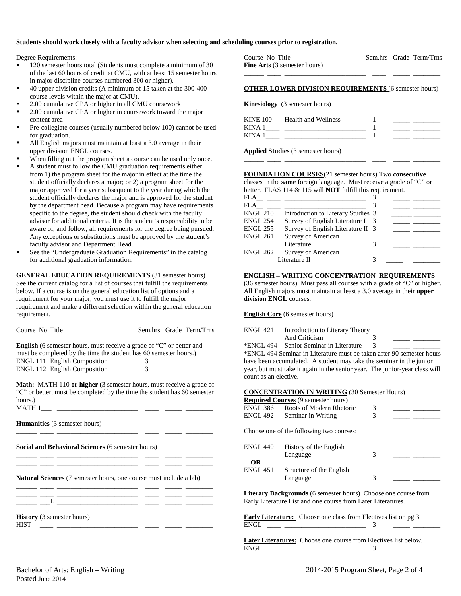#### **Students should work closely with a faculty advisor when selecting and scheduling courses prior to registration.**

Degree Requirements:

- 120 semester hours total (Students must complete a minimum of 30 of the last 60 hours of credit at CMU, with at least 15 semester hours in major discipline courses numbered 300 or higher).
- 40 upper division credits (A minimum of 15 taken at the 300-400 course levels within the major at CMU).
- 2.00 cumulative GPA or higher in all CMU coursework
- 2.00 cumulative GPA or higher in coursework toward the major content area
- Pre-collegiate courses (usually numbered below 100) cannot be used for graduation.
- All English majors must maintain at least a 3.0 average in their upper division ENGL courses.
- When filling out the program sheet a course can be used only once.
- A student must follow the CMU graduation requirements either from 1) the program sheet for the major in effect at the time the student officially declares a major; or 2) a program sheet for the major approved for a year subsequent to the year during which the student officially declares the major and is approved for the student by the department head. Because a program may have requirements specific to the degree, the student should check with the faculty advisor for additional criteria. It is the student's responsibility to be aware of, and follow, all requirements for the degree being pursued. Any exceptions or substitutions must be approved by the student's faculty advisor and Department Head.
- See the "Undergraduate Graduation Requirements" in the catalog for additional graduation information.

**GENERAL EDUCATION REQUIREMENTS** (31 semester hours) See the current catalog for a list of courses that fulfill the requirements below. If a course is on the general education list of options and a requirement for your major, you must use it to fulfill the major requirement and make a different selection within the general education requirement.

| Course No Title                                                                                                                                                                                                                                                                           |        | Sem.hrs Grade Term/Trns |
|-------------------------------------------------------------------------------------------------------------------------------------------------------------------------------------------------------------------------------------------------------------------------------------------|--------|-------------------------|
| <b>English</b> (6 semester hours, must receive a grade of "C" or better and<br>must be completed by the time the student has 60 semester hours.)<br><b>ENGL 111 English Composition</b><br><b>ENGL 112 English Composition</b>                                                            | 3<br>3 |                         |
| Math: MATH 110 or higher (3 semester hours, must receive a grade of<br>"C" or better, must be completed by the time the student has 60 semester<br>hours.)                                                                                                                                |        |                         |
| Humanities (3 semester hours)                                                                                                                                                                                                                                                             |        |                         |
| Social and Behavioral Sciences (6 semester hours)<br><u> De la Carlo de la Carlo de la Carlo de la Carlo de la Carlo de la Carlo de la Carlo de la Carlo de la Carlo de la Carlo de la Carlo de la Carlo de la Carlo de la Carlo de la Carlo de la Carlo de la Carlo de la Carlo de l</u> |        |                         |
| <u> 1989 - Jan James James Jan James James James James James James James James James James James James James Jam</u><br><b>Natural Sciences</b> (7 semester hours, one course must include a lab)                                                                                         |        |                         |
|                                                                                                                                                                                                                                                                                           |        |                         |
| <b>History</b> (3 semester hours)<br>HIST<br><u> 1989 - Johann John Stein, market fan it ferstjer fan it ferstjer fan it ferstjer fan it ferstjer fan it fers</u>                                                                                                                         |        |                         |

Course No Title Sem.hrs Grade Term/Trns **Fine Arts** (3 semester hours) \_\_\_\_\_\_ \_\_\_\_ \_\_\_\_\_\_\_\_\_\_\_\_\_\_\_\_\_\_\_\_\_\_\_\_ \_\_\_\_ \_\_\_\_\_ \_\_\_\_\_\_\_\_

#### **OTHER LOWER DIVISION REQUIREMENTS** (6 semester hours)

**Kinesiology** (3 semester hours)

| <b>KINE 100</b> | Health and Wellness |  |
|-----------------|---------------------|--|
| KINA            |                     |  |
| <b>KINA</b>     |                     |  |

\_\_\_\_\_\_ \_\_\_\_ \_\_\_\_\_\_\_\_\_\_\_\_\_\_\_\_\_\_\_\_\_\_\_\_ \_\_\_\_ \_\_\_\_\_ \_\_\_\_\_\_\_\_

**Applied Studies** (3 semester hours)

**FOUNDATION COURSES**(21 semester hours) Two **consecutive** classes in the **same** foreign language. Must receive a grade of "C" or better. FLAS 114 & 115 will **NOT** fulfill this requirement.

| <b>FLA</b>      |                                    |  |  |
|-----------------|------------------------------------|--|--|
| <b>FLA</b>      |                                    |  |  |
| <b>ENGL 210</b> | Introduction to Literary Studies 3 |  |  |
| <b>ENGL 254</b> | Survey of English Literature I 3   |  |  |
| <b>ENGL 255</b> | Survey of English Literature II 3  |  |  |
| <b>ENGL 261</b> | Survey of American                 |  |  |
|                 | Literature I                       |  |  |
| <b>ENGL 262</b> | Survey of American                 |  |  |
|                 | Literature II                      |  |  |
|                 |                                    |  |  |

#### **ENGLISH – WRITING CONCENTRATION REQUIREMENTS**

(36 semester hours) Must pass all courses with a grade of "C" or higher. All English majors must maintain at least a 3.0 average in their **upper division ENGL** courses.

#### **English Core** (6 semester hours)

| ENGL 421 | Introduction to Literary Theory        |  |  |
|----------|----------------------------------------|--|--|
|          | And Criticism                          |  |  |
|          | *ENGL 494 Senior Seminar in Literature |  |  |

\*ENGL 494 Seminar in Literature must be taken after 90 semester hours have been accumulated. A student may take the seminar in the junior year, but must take it again in the senior year. The junior-year class will count as an elective.

#### **CONCENTRATION IN WRITING** (30 Semester Hours)

| Roots of Modern Rhetoric<br><b>ENGL 386</b><br>3<br>ENGL 492<br>Seminar in Writing<br>3<br>Choose one of the following two courses: |                 | <b>Required Courses (9 semester hours)</b> |  |
|-------------------------------------------------------------------------------------------------------------------------------------|-----------------|--------------------------------------------|--|
|                                                                                                                                     |                 |                                            |  |
|                                                                                                                                     |                 |                                            |  |
| 3<br>Language<br>OR<br><b>ENGL 451</b><br>Structure of the English<br>Language<br>3                                                 | <b>ENGL 440</b> | History of the English                     |  |

**Literary Backgrounds** (6 semester hours) Choose one course from Early Literature List and one course from Later Literatures.

**Early Literature:** Choose one class from Electives list on pg 3. ENGL \_\_\_\_ \_\_\_\_\_\_\_\_\_\_\_\_\_\_\_\_\_\_\_\_\_\_\_\_ 3 \_\_\_\_\_ \_\_\_\_\_\_\_\_

**Later Literatures:** Choose one course from Electives list below.  $ENGL \t 3$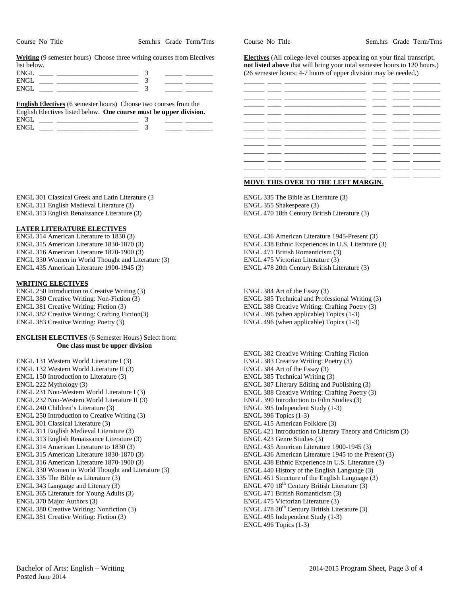| Course No Title |  | Sem.hrs Grade Term/Trns |
|-----------------|--|-------------------------|
|                 |  |                         |

**Writing** (9 semester hours) Choose three writing courses from Electives list below.

|      | <b>English Electives</b> (6 semester hours) Choose two courses from the |
|------|-------------------------------------------------------------------------|
|      | English Electives listed below. One course must be upper division.      |
| ENGL |                                                                         |
| ENGL |                                                                         |

ENGL 301 Classical Greek and Latin Literature (3 ENGL 311 English Medieval Literature (3) ENGL 313 English Renaissance Literature (3)

#### **LATER LITERATURE ELECTIVES**

ENGL 314 American Literature to 1830 (3) ENGL 315 American Literature 1830-1870 (3) ENGL 316 American Literature 1870-1900 (3) ENGL 330 Women in World Thought and Literature (3) ENGL 435 American Literature 1900-1945 (3)

#### **WRITING ELECTIVES**

ENGL 250 Introduction to Creative Writing (3) ENGL 380 Creative Writing: Non-Fiction (3) ENGL 381 Creative Writing: Fiction (3) ENGL 382 Creative Writing: Crafting Fiction(3) ENGL 383 Creative Writing: Poetry (3)

#### **ENGLISH ELECTIVES** (6 Semester Hours) Select from: **One class must be upper division**

ENGL 131 Western World Literature I (3) ENGL 132 Western World Literature II (3) ENGL 150 Introduction to Literature (3) ENGL 222 Mythology (3) ENGL 231 Non-Western World Literature I (3) ENGL 232 Non-Western World Literature II (3) ENGL 240 Children's Literature (3) ENGL 250 Introduction to Creative Writing (3) ENGL 301 Classical Literature (3) ENGL 311 English Medieval Literature (3) ENGL 313 English Renaissance Literature (3) ENGL 314 American Literature to 1830 (3) ENGL 315 American Literature 1830-1870 (3) ENGL 316 American Literature 1870-1900 (3) ENGL 330 Women in World Thought and Literature (3) ENGL 335 The Bible as Literature (3) ENGL 343 Language and Literacy (3) ENGL 365 Literature for Young Adults (3) ENGL 370 Major Authors (3) ENGL 380 Creative Writing: Nonfiction (3) ENGL 381 Creative Writing: Fiction (3)

Course No Title Sem.hrs Grade Term/Trns

**Electives** (All college-level courses appearing on your final transcript, **not listed above** that will bring your total semester hours to 120 hours.) (26 semester hours; 4-7 hours of upper division may be needed.)

| . .                  | <u> The Communication</u>                                                                                                                                                                                                            |  |  |
|----------------------|--------------------------------------------------------------------------------------------------------------------------------------------------------------------------------------------------------------------------------------|--|--|
|                      |                                                                                                                                                                                                                                      |  |  |
|                      |                                                                                                                                                                                                                                      |  |  |
|                      |                                                                                                                                                                                                                                      |  |  |
|                      | <u> 1989 - Andrea Andrews, amerikan bisa di sebagai perangan perangan perangan perangan perangan perangan perangan</u>                                                                                                               |  |  |
|                      |                                                                                                                                                                                                                                      |  |  |
| - <del>- - -</del> - | <u> 1980 - Jan Barnett, fransk komponist for de format for de format for de format for de format for de format for</u>                                                                                                               |  |  |
|                      | <u> The Common Common Common Common Common Common Common Common Common Common Common Common Common Common Common Common Common Common Common Common Common Common Common Common Common Common Common Common Common Common Common</u> |  |  |
|                      |                                                                                                                                                                                                                                      |  |  |
| . _____              |                                                                                                                                                                                                                                      |  |  |
|                      |                                                                                                                                                                                                                                      |  |  |
|                      |                                                                                                                                                                                                                                      |  |  |

### **MOVE THIS OVER TO THE LEFT MARGIN.**

ENGL 335 The Bible as Literature (3) ENGL 355 Shakespeare (3) ENGL 470 18th Century British Literature (3)

ENGL 436 American Literature 1945-Present (3) ENGL 438 Ethnic Experiences in U.S. Literature (3) ENGL 471 British Romanticism (3) ENGL 475 Victorian Literature (3) ENGL 478 20th Century British Literature (3)

ENGL 384 Art of the Essay (3) ENGL 385 Technical and Professional Writing (3) ENGL 388 Creative Writing: Crafting Poetry (3) ENGL 396 (when applicable) Topics (1-3) ENGL 496 (when applicable) Topics (1-3)

ENGL 382 Creative Writing: Crafting Fiction ENGL 383 Creative Writing: Poetry (3) ENGL 384 Art of the Essay (3) ENGL 385 Technical Writing (3) ENGL 387 Literary Editing and Publishing (3) ENGL 388 Creative Writing: Crafting Poetry (3) ENGL 390 Introduction to Film Studies (3) ENGL 395 Independent Study (1-3) ENGL 396 Topics (1-3) ENGL 415 American Folklore (3) ENGL 421 Introduction to Literary Theory and Criticism (3) ENGL 423 Genre Studies (3) ENGL 435 American Literature 1900-1945 (3) ENGL 436 American Literature 1945 to the Present (3) ENGL 438 Ethnic Experience in U.S. Literature (3) ENGL 440 History of the English Language (3) ENGL 451 Structure of the English Language (3) ENGL 470 18<sup>th</sup> Century British Literature (3) ENGL 471 British Romanticism (3) ENGL 475 Victorian Literature (3) ENGL 478 20<sup>th</sup> Century British Literature (3) ENGL 495 Independent Study (1-3) ENGL 496 Topics (1-3)